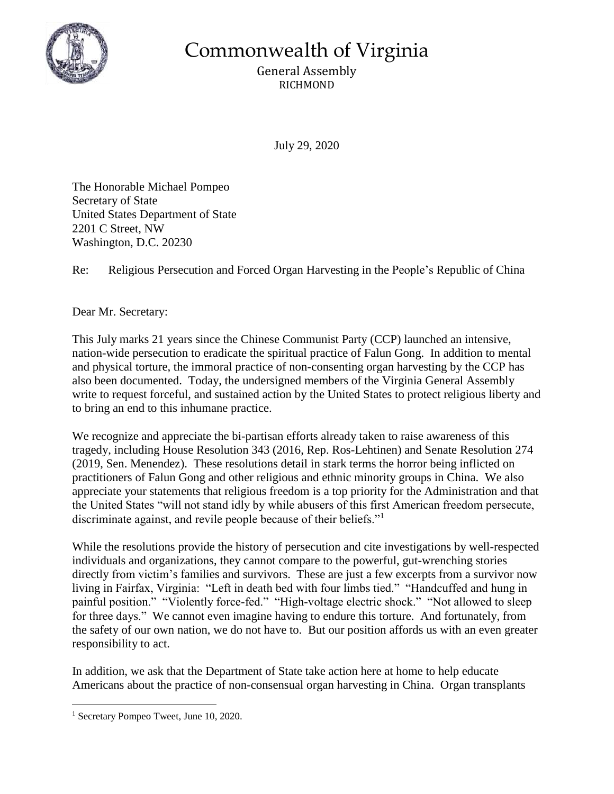

Commonwealth of Virginia

General Assembly RICHMOND

July 29, 2020

The Honorable Michael Pompeo Secretary of State United States Department of State 2201 C Street, NW Washington, D.C. 20230

Re: Religious Persecution and Forced Organ Harvesting in the People's Republic of China

Dear Mr. Secretary:

This July marks 21 years since the Chinese Communist Party (CCP) launched an intensive, nation-wide persecution to eradicate the spiritual practice of Falun Gong. In addition to mental and physical torture, the immoral practice of non-consenting organ harvesting by the CCP has also been documented. Today, the undersigned members of the Virginia General Assembly write to request forceful, and sustained action by the United States to protect religious liberty and to bring an end to this inhumane practice.

We recognize and appreciate the bi-partisan efforts already taken to raise awareness of this tragedy, including House Resolution 343 (2016, Rep. Ros-Lehtinen) and Senate Resolution 274 (2019, Sen. Menendez). These resolutions detail in stark terms the horror being inflicted on practitioners of Falun Gong and other religious and ethnic minority groups in China. We also appreciate your statements that religious freedom is a top priority for the Administration and that the United States "will not stand idly by while abusers of this first American freedom persecute, discriminate against, and revile people because of their beliefs."<sup>1</sup>

While the resolutions provide the history of persecution and cite investigations by well-respected individuals and organizations, they cannot compare to the powerful, gut-wrenching stories directly from victim's families and survivors. These are just a few excerpts from a survivor now living in Fairfax, Virginia: "Left in death bed with four limbs tied." "Handcuffed and hung in painful position." "Violently force-fed." "High-voltage electric shock." "Not allowed to sleep for three days." We cannot even imagine having to endure this torture. And fortunately, from the safety of our own nation, we do not have to. But our position affords us with an even greater responsibility to act.

In addition, we ask that the Department of State take action here at home to help educate Americans about the practice of non-consensual organ harvesting in China. Organ transplants

 $\overline{a}$ <sup>1</sup> Secretary Pompeo Tweet, June 10, 2020.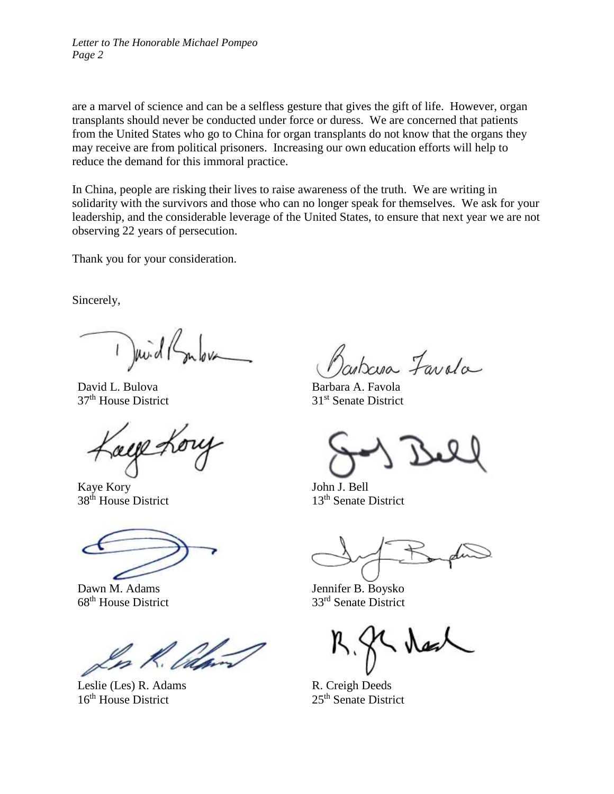*Letter to The Honorable Michael Pompeo Page 2*

are a marvel of science and can be a selfless gesture that gives the gift of life. However, organ transplants should never be conducted under force or duress. We are concerned that patients from the United States who go to China for organ transplants do not know that the organs they may receive are from political prisoners. Increasing our own education efforts will help to reduce the demand for this immoral practice.

In China, people are risking their lives to raise awareness of the truth. We are writing in solidarity with the survivors and those who can no longer speak for themselves. We ask for your leadership, and the considerable leverage of the United States, to ensure that next year we are not observing 22 years of persecution.

Thank you for your consideration.

Sincerely,

 $\int$  puid (

David L. Bulova 37th House District

Kaye Kory 38<sup>th</sup> House District

Dawn M. Adams 68<sup>th</sup> House District

In .

Leslie (Les) R. Adams 16<sup>th</sup> House District

obresa Favola

Barbara A. Favola 31st Senate District

John J. Bell 13th Senate District

Jennifer B. Boysko 33rd Senate District

R. Creigh Deeds 25<sup>th</sup> Senate District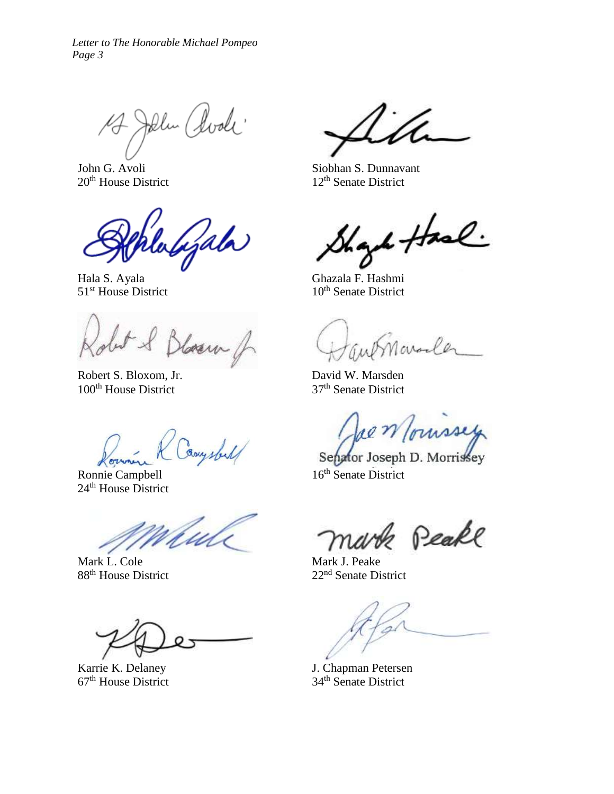17 John Clock

John G. Avoli 20<sup>th</sup> House District

Wyala

Hala S. Ayala 51<sup>st</sup> House District

obit & Blosson of

Robert S. Bloxom, Jr. 100<sup>th</sup> House District

Bruy s/2

Ronnie Campbell 24<sup>th</sup> House District

Mark L. Cole 88<sup>th</sup> House District

Karrie K. Delaney 67<sup>th</sup> House District

Siobhan S. Dunnavant 12<sup>th</sup> Senate District

Shark Hase

Ghazala F. Hashmi  $10^{th}$  Senate District

Maraler

David W. Marsden 37th Senate District

Jae Moussey

Senator Joseph D. Morrissey 16<sup>th</sup> Senate District

& Peake

Mark J. Peake 22nd Senate District

J. Chapman Petersen 34th Senate District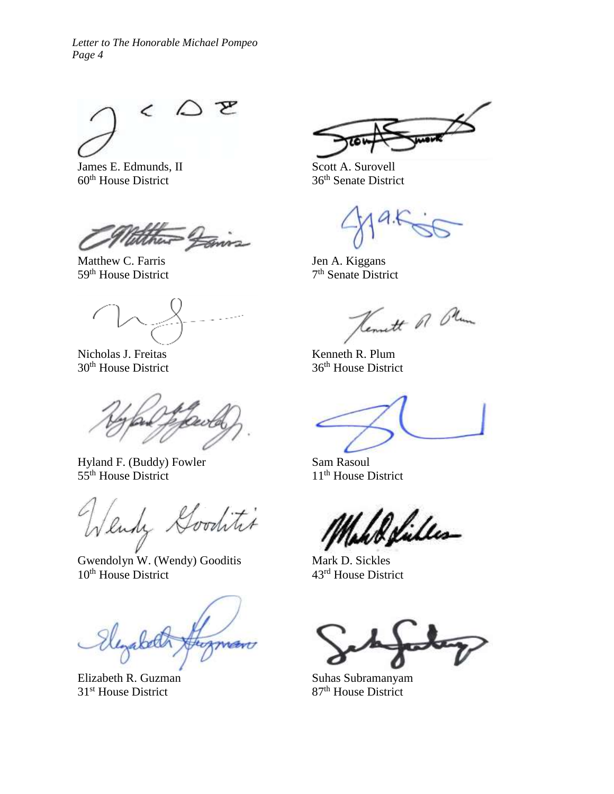$\mathfrak{D}$   $\mathfrak{D}$ 

James E. Edmunds, II 60<sup>th</sup> House District

Matthew C. Farris 59<sup>th</sup> House District

Nicholas J. Freitas 30<sup>th</sup> House District

Hyland F. (Buddy) Fowler 55<sup>th</sup> House District

litet Wendy &

Gwendolyn W. (Wendy) Gooditis 10<sup>th</sup> House District

bet therman

Elizabeth R. Guzman 31<sup>st</sup> House District

Scott A. Surovell 36th Senate District

Jen A. Kiggans 7<sup>th</sup> Senate District

Kennett of Olum

Kenneth R. Plum 36th House District

Sam Rasoul 11<sup>th</sup> House District

*Be*files

Mark D. Sickles 43rd House District

Suhas Subramanyam 87<sup>th</sup> House District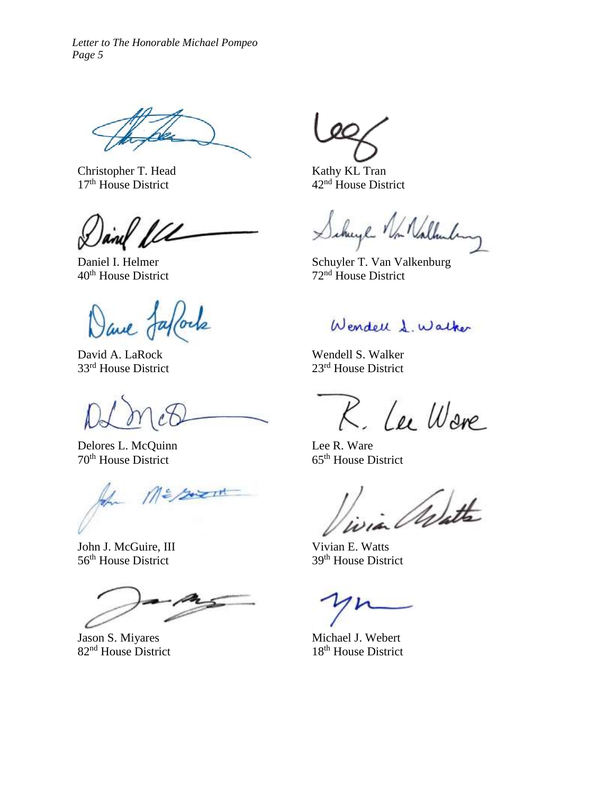Christopher T. Head 17<sup>th</sup> House District

Daniel I. Helmer 40<sup>th</sup> House District

Dave Jaffords

David A. LaRock 33rd House District

Delores L. McQuinn 70th House District

In MESsient

John J. McGuire, III 56<sup>th</sup> House District

Jason S. Miyares 82<sup>nd</sup> House District

Kathy KL Tran 42nd House District

cherge Von Nathunken

Schuyler T. Van Valkenburg 72nd House District

Wendell L. Walker

Wendell S. Walker 23rd House District

R. Lee Ware

Lee R. Ware 65th House District

West

Vivian E. Watts 39th House District

Michael J. Webert 18<sup>th</sup> House District